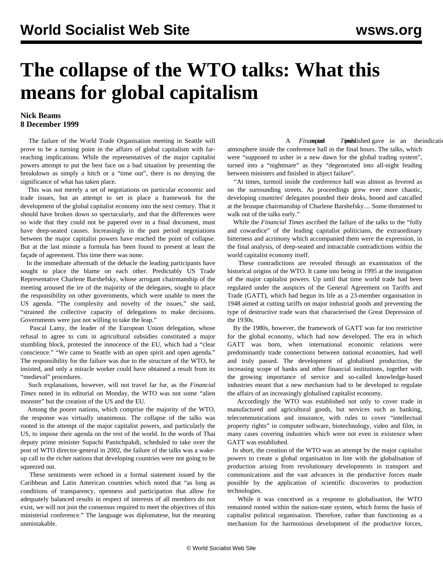## **The collapse of the WTO talks: What this means for global capitalism**

## **Nick Beams 8 December 1999**

 The failure of the World Trade Organisation meeting in Seattle will prove to be a turning point in the affairs of global capitalism with farreaching implications. While the representatives of the major capitalist powers attempt to put the best face on a bad situation by presenting the breakdown as simply a hitch or a "time out", there is no denying the significance of what has taken place.

 This was not merely a set of negotiations on particular economic and trade issues, but an attempt to set in place a framework for the development of the global capitalist economy into the next century. That it should have broken down so spectacularly, and that the differences were so wide that they could not be papered over in a final document, must have deep-seated causes. Increasingly in the past period negotiations between the major capitalist powers have reached the point of collapse. But at the last minute a formula has been found to present at least the façade of agreement. This time there was none.

 In the immediate aftermath of the debacle the leading participants have sought to place the blame on each other. Predictably US Trade Representative Charlene Barshefsky, whose arrogant chairmanship of the meeting aroused the ire of the majority of the delegates, sought to place the responsibility on other governments, which were unable to meet the US agenda. "The complexity and novelty of the issues," she said, "strained the collective capacity of delegations to make decisions. Governments were just not willing to take the leap."

 Pascal Lamy, the leader of the European Union delegation, whose refusal to agree to cuts in agricultural subsidies constituted a major stumbling block, protested the innocence of the EU, which had a "clear conscience." "We came to Seattle with an open spirit and open agenda." The responsibility for the failure was due to the structure of the WTO, he insisted, and only a miracle worker could have obtained a result from its "medieval" procedures.

 Such explanations, however, will not travel far for, as the *Financial Times* noted in its editorial on Monday, the WTO was not some "alien monster" but the creation of the US and the EU.

 Among the poorer nations, which comprise the majority of the WTO, the response was virtually unanimous. The collapse of the talks was rooted in the attempt of the major capitalist powers, and particularly the US, to impose their agenda on the rest of the world. In the words of Thai deputy prime minister Supachi Panitchpakdi, scheduled to take over the post of WTO director-general in 2002, the failure of the talks was a wakeup call to the richer nations that developing countries were not going to be squeezed out.

 These sentiments were echoed in a formal statement issued by the Caribbean and Latin American countries which noted that "as long as conditions of transparency, openness and participation that allow for adequately balanced results in respect of interests of all members do not exist, we will not join the consensus required to meet the objectives of this ministerial conference." The language was diplomatese, but the meaning unmistakable.

A *Financipiout* Times *Timus* discussed in an indication of the *Financipiout* atmosphere inside the conference hall in the final hours. The talks, which were "supposed to usher in a new dawn for the global trading system", turned into a "nightmare" as they "degenerated into all-night feuding between ministers and finished in abject failure".

 "At times, turmoil inside the conference hall was almost as fevered as on the surrounding streets. As proceedings grew ever more chaotic, developing countries' delegates pounded their desks, booed and catcalled at the brusque chairmanship of Charlene Barshefsky.... Some threatened to walk out of the talks early."

 While the *Financial Times* ascribed the failure of the talks to the "folly and cowardice" of the leading capitalist politicians, the extraordinary bitterness and acrimony which accompanied them were the expression, in the final analysis, of deep-seated and intractable contradictions within the world capitalist economy itself.

 These contradictions are revealed through an examination of the historical origins of the WTO. It came into being in 1995 at the instigation of the major capitalist powers. Up until that time world trade had been regulated under the auspices of the General Agreement on Tariffs and Trade (GATT), which had begun its life as a 23-member organisation in 1948 aimed at cutting tariffs on major industrial goods and preventing the type of destructive trade wars that characterised the Great Depression of the 1930s.

 By the 1980s, however, the framework of GATT was far too restrictive for the global economy, which had now developed. The era in which GATT was born, when international economic relations were predominantly trade connections between national economies, had well and truly passed. The development of globalised production, the increasing scope of banks and other financial institutions, together with the growing importance of service and so-called knowledge-based industries meant that a new mechanism had to be developed to regulate the affairs of an increasingly globalised capitalist economy.

 Accordingly the WTO was established not only to cover trade in manufactured and agricultural goods, but services such as banking, telecommunications and insurance, with rules to cover "intellectual property rights" in computer software, biotechnology, video and film, in many cases covering industries which were not even in existence when GATT was established.

 In short, the creation of the WTO was an attempt by the major capitalist powers to create a global organisation in line with the globalisation of production arising from revolutionary developments in transport and communications and the vast advances in the productive forces made possible by the application of scientific discoveries to production technologies.

 While it was conceived as a response to globalisation, the WTO remained rooted within the nation-state system, which forms the basis of capitalist political organisation. Therefore, rather than functioning as a mechanism for the harmonious development of the productive forces,